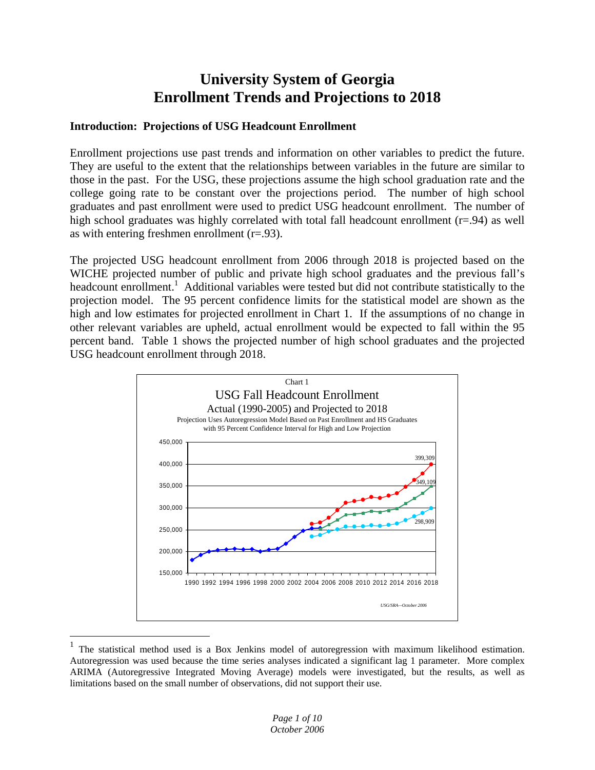# **University System of Georgia Enrollment Trends and Projections to 2018**

# **Introduction: Projections of USG Headcount Enrollment**

Enrollment projections use past trends and information on other variables to predict the future. They are useful to the extent that the relationships between variables in the future are similar to those in the past. For the USG, these projections assume the high school graduation rate and the college going rate to be constant over the projections period. The number of high school graduates and past enrollment were used to predict USG headcount enrollment. The number of high school graduates was highly correlated with total fall headcount enrollment  $(r=0.94)$  as well as with entering freshmen enrollment  $(r=.93)$ .

The projected USG headcount enrollment from 2006 through 2018 is projected based on the WICHE projected number of public and private high school graduates and the previous fall's headcount enrollment.<sup>1</sup> Additional variables were tested but did not contribute statistically to the projection model. The 95 percent confidence limits for the statistical model are shown as the high and low estimates for projected enrollment in Chart 1. If the assumptions of no change in other relevant variables are upheld, actual enrollment would be expected to fall within the 95 percent band. Table 1 shows the projected number of high school graduates and the projected USG headcount enrollment through 2018.



<sup>1</sup> The statistical method used is a Box Jenkins model of autoregression with maximum likelihood estimation. Autoregression was used because the time series analyses indicated a significant lag 1 parameter. More complex ARIMA (Autoregressive Integrated Moving Average) models were investigated, but the results, as well as limitations based on the small number of observations, did not support their use.

1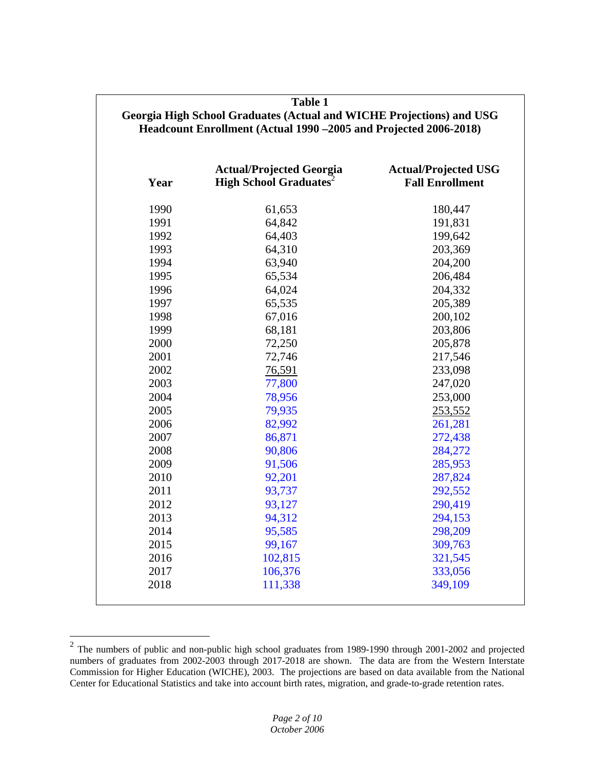| <b>Table 1</b><br>Georgia High School Graduates (Actual and WICHE Projections) and USG<br>Headcount Enrollment (Actual 1990 - 2005 and Projected 2006-2018) |                                                                             |                                                       |  |  |
|-------------------------------------------------------------------------------------------------------------------------------------------------------------|-----------------------------------------------------------------------------|-------------------------------------------------------|--|--|
| Year                                                                                                                                                        | <b>Actual/Projected Georgia</b><br><b>High School Graduates<sup>2</sup></b> | <b>Actual/Projected USG</b><br><b>Fall Enrollment</b> |  |  |
| 1990                                                                                                                                                        | 61,653                                                                      | 180,447                                               |  |  |
| 1991                                                                                                                                                        | 64,842                                                                      | 191,831                                               |  |  |
| 1992                                                                                                                                                        | 64,403                                                                      | 199,642                                               |  |  |
| 1993                                                                                                                                                        | 64,310                                                                      | 203,369                                               |  |  |
| 1994                                                                                                                                                        | 63,940                                                                      | 204,200                                               |  |  |
| 1995                                                                                                                                                        | 65,534                                                                      | 206,484                                               |  |  |
| 1996                                                                                                                                                        | 64,024                                                                      | 204,332                                               |  |  |
| 1997                                                                                                                                                        | 65,535                                                                      | 205,389                                               |  |  |
| 1998                                                                                                                                                        | 67,016                                                                      | 200,102                                               |  |  |
| 1999                                                                                                                                                        | 68,181                                                                      | 203,806                                               |  |  |
| 2000                                                                                                                                                        | 72,250                                                                      | 205,878                                               |  |  |
| 2001                                                                                                                                                        | 72,746                                                                      | 217,546                                               |  |  |
| 2002                                                                                                                                                        | 76,591                                                                      | 233,098                                               |  |  |
| 2003                                                                                                                                                        | 77,800                                                                      | 247,020                                               |  |  |
| 2004                                                                                                                                                        | 78,956                                                                      | 253,000                                               |  |  |
| 2005                                                                                                                                                        | 79,935                                                                      | 253,552                                               |  |  |
| 2006                                                                                                                                                        | 82,992                                                                      | 261,281                                               |  |  |
| 2007                                                                                                                                                        | 86,871                                                                      | 272,438                                               |  |  |
| 2008                                                                                                                                                        | 90,806                                                                      | 284,272                                               |  |  |
| 2009                                                                                                                                                        | 91,506                                                                      | 285,953                                               |  |  |
| 2010                                                                                                                                                        | 92,201                                                                      | 287,824                                               |  |  |
| 2011                                                                                                                                                        | 93,737                                                                      | 292,552                                               |  |  |
| 2012                                                                                                                                                        | 93,127                                                                      | 290,419                                               |  |  |
| 2013                                                                                                                                                        | 94,312                                                                      | 294,153                                               |  |  |
| 2014                                                                                                                                                        | 95,585                                                                      | 298,209                                               |  |  |
| 2015                                                                                                                                                        | 99,167                                                                      | 309,763                                               |  |  |
| 2016                                                                                                                                                        | 102,815                                                                     | 321,545                                               |  |  |
| 2017                                                                                                                                                        | 106,376                                                                     | 333,056                                               |  |  |
| 2018                                                                                                                                                        | 111,338                                                                     | 349,109                                               |  |  |

 $\overline{a}$ 

 $2$  The numbers of public and non-public high school graduates from 1989-1990 through 2001-2002 and projected numbers of graduates from 2002-2003 through 2017-2018 are shown. The data are from the Western Interstate Commission for Higher Education (WICHE), 2003. The projections are based on data available from the National Center for Educational Statistics and take into account birth rates, migration, and grade-to-grade retention rates.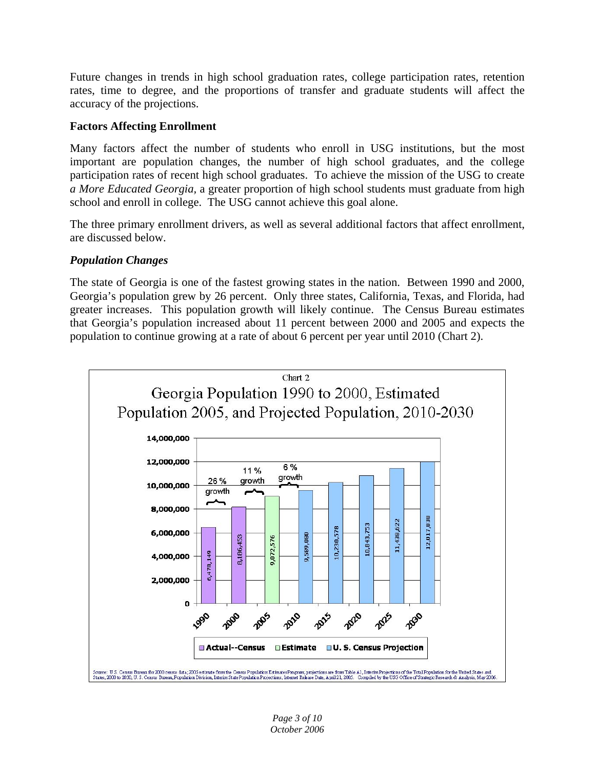Future changes in trends in high school graduation rates, college participation rates, retention rates, time to degree, and the proportions of transfer and graduate students will affect the accuracy of the projections.

# **Factors Affecting Enrollment**

Many factors affect the number of students who enroll in USG institutions, but the most important are population changes, the number of high school graduates, and the college participation rates of recent high school graduates. To achieve the mission of the USG to create *a More Educated Georgia,* a greater proportion of high school students must graduate from high school and enroll in college. The USG cannot achieve this goal alone.

The three primary enrollment drivers, as well as several additional factors that affect enrollment, are discussed below.

# *Population Changes*

The state of Georgia is one of the fastest growing states in the nation. Between 1990 and 2000, Georgia's population grew by 26 percent. Only three states, California, Texas, and Florida, had greater increases. This population growth will likely continue. The Census Bureau estimates that Georgia's population increased about 11 percent between 2000 and 2005 and expects the population to continue growing at a rate of about 6 percent per year until 2010 (Chart 2).

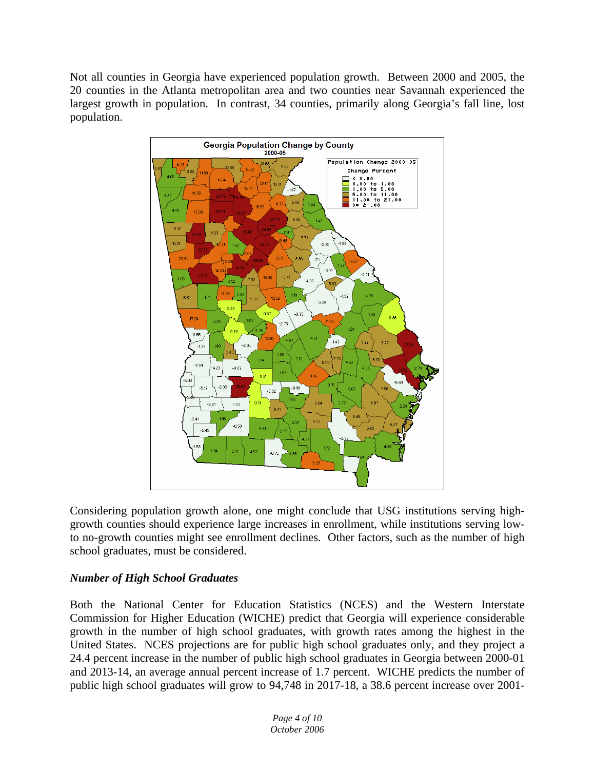Not all counties in Georgia have experienced population growth. Between 2000 and 2005, the 20 counties in the Atlanta metropolitan area and two counties near Savannah experienced the largest growth in population. In contrast, 34 counties, primarily along Georgia's fall line, lost population.



Considering population growth alone, one might conclude that USG institutions serving highgrowth counties should experience large increases in enrollment, while institutions serving lowto no-growth counties might see enrollment declines. Other factors, such as the number of high school graduates, must be considered.

# *Number of High School Graduates*

Both the National Center for Education Statistics (NCES) and the Western Interstate Commission for Higher Education (WICHE) predict that Georgia will experience considerable growth in the number of high school graduates, with growth rates among the highest in the United States. NCES projections are for public high school graduates only, and they project a 24.4 percent increase in the number of public high school graduates in Georgia between 2000-01 and 2013-14, an average annual percent increase of 1.7 percent. WICHE predicts the number of public high school graduates will grow to 94,748 in 2017-18, a 38.6 percent increase over 2001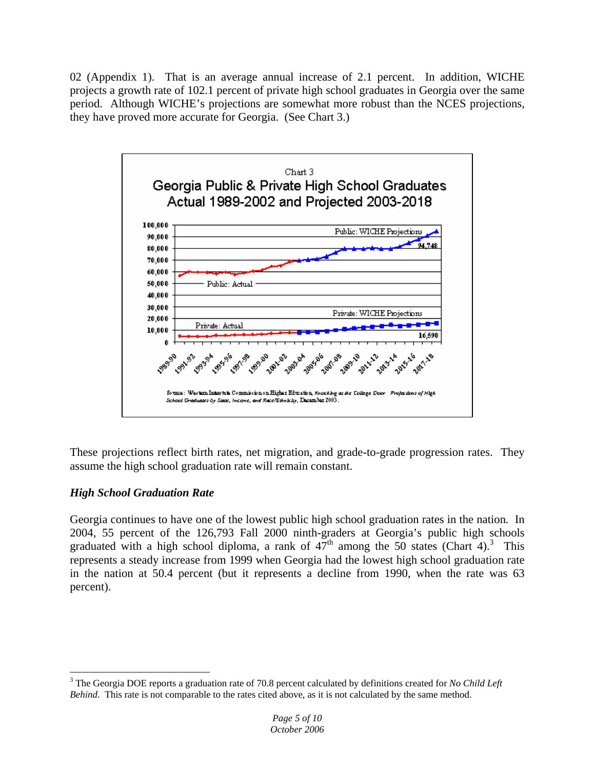02 (Appendix 1). That is an average annual increase of 2.1 percent. In addition, WICHE projects a growth rate of 102.1 percent of private high school graduates in Georgia over the same period. Although WICHE's projections are somewhat more robust than the NCES projections, they have proved more accurate for Georgia. (See Chart 3.)



These projections reflect birth rates, net migration, and grade-to-grade progression rates. They assume the high school graduation rate will remain constant.

# *High School Graduation Rate*

 $\overline{a}$ 

Georgia continues to have one of the lowest public high school graduation rates in the nation*.* In 2004, 55 percent of the 126,793 Fall 2000 ninth-graders at Georgia's public high schools graduated with a high school diploma, a rank of  $47<sup>th</sup>$  among the 50 states (Chart 4).<sup>3</sup> This represents a steady increase from 1999 when Georgia had the lowest high school graduation rate in the nation at 50.4 percent (but it represents a decline from 1990, when the rate was 63 percent).

<sup>3</sup> The Georgia DOE reports a graduation rate of 70.8 percent calculated by definitions created for *No Child Left Behind*. This rate is not comparable to the rates cited above, as it is not calculated by the same method.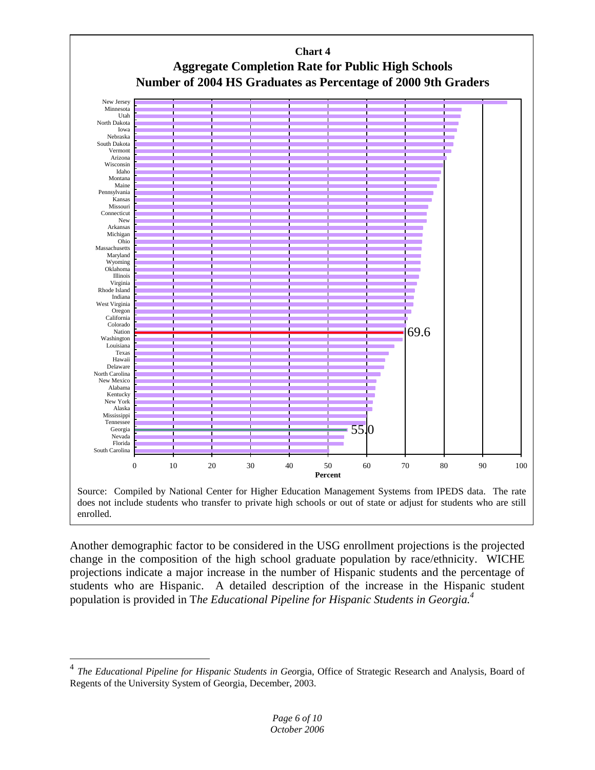

Another demographic factor to be considered in the USG enrollment projections is the projected change in the composition of the high school graduate population by race/ethnicity. WICHE projections indicate a major increase in the number of Hispanic students and the percentage of students who are Hispanic. A detailed description of the increase in the Hispanic student population is provided in T*he Educational Pipeline for Hispanic Students in Georgia.4*

 $\overline{a}$ 

<sup>4</sup> *The Educational Pipeline for Hispanic Students in Geo*rgia, Office of Strategic Research and Analysis, Board of Regents of the University System of Georgia, December, 2003.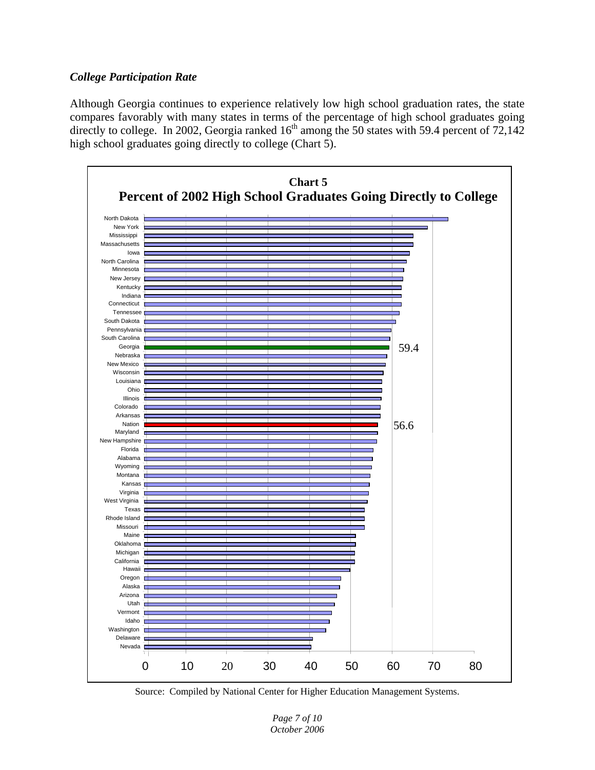#### *College Participation Rate*

Although Georgia continues to experience relatively low high school graduation rates, the state compares favorably with many states in terms of the percentage of high school graduates going directly to college. In 2002, Georgia ranked  $16<sup>th</sup>$  among the 50 states with 59.4 percent of 72,142 high school graduates going directly to college (Chart 5).



Source: Compiled by National Center for Higher Education Management Systems.

*Page 7 of 10 October 2006*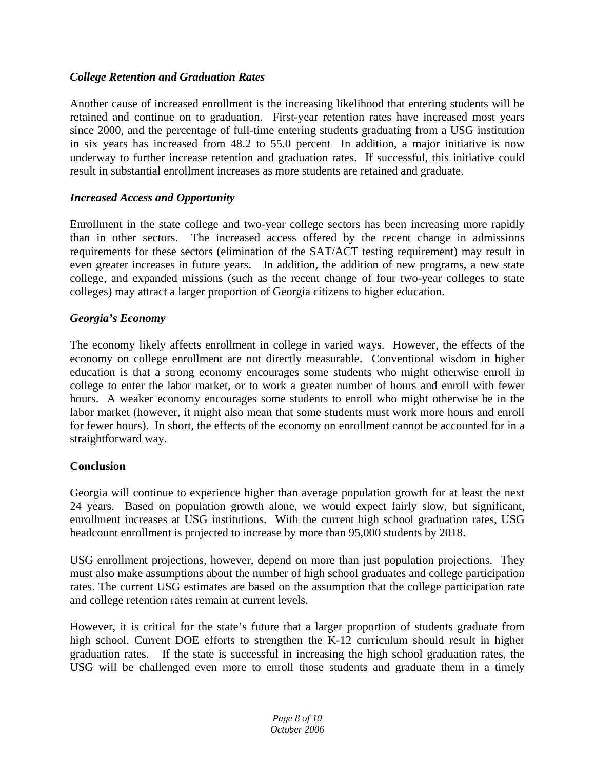# *College Retention and Graduation Rates*

Another cause of increased enrollment is the increasing likelihood that entering students will be retained and continue on to graduation. First-year retention rates have increased most years since 2000, and the percentage of full-time entering students graduating from a USG institution in six years has increased from 48.2 to 55.0 percent In addition, a major initiative is now underway to further increase retention and graduation rates. If successful, this initiative could result in substantial enrollment increases as more students are retained and graduate.

# *Increased Access and Opportunity*

Enrollment in the state college and two-year college sectors has been increasing more rapidly than in other sectors. The increased access offered by the recent change in admissions requirements for these sectors (elimination of the SAT/ACT testing requirement) may result in even greater increases in future years. In addition, the addition of new programs, a new state college, and expanded missions (such as the recent change of four two-year colleges to state colleges) may attract a larger proportion of Georgia citizens to higher education.

# *Georgia's Economy*

The economy likely affects enrollment in college in varied ways. However, the effects of the economy on college enrollment are not directly measurable. Conventional wisdom in higher education is that a strong economy encourages some students who might otherwise enroll in college to enter the labor market, or to work a greater number of hours and enroll with fewer hours. A weaker economy encourages some students to enroll who might otherwise be in the labor market (however, it might also mean that some students must work more hours and enroll for fewer hours). In short, the effects of the economy on enrollment cannot be accounted for in a straightforward way.

# **Conclusion**

Georgia will continue to experience higher than average population growth for at least the next 24 years. Based on population growth alone, we would expect fairly slow, but significant, enrollment increases at USG institutions. With the current high school graduation rates, USG headcount enrollment is projected to increase by more than 95,000 students by 2018.

USG enrollment projections, however, depend on more than just population projections. They must also make assumptions about the number of high school graduates and college participation rates. The current USG estimates are based on the assumption that the college participation rate and college retention rates remain at current levels.

However, it is critical for the state's future that a larger proportion of students graduate from high school. Current DOE efforts to strengthen the K-12 curriculum should result in higher graduation rates. If the state is successful in increasing the high school graduation rates, the USG will be challenged even more to enroll those students and graduate them in a timely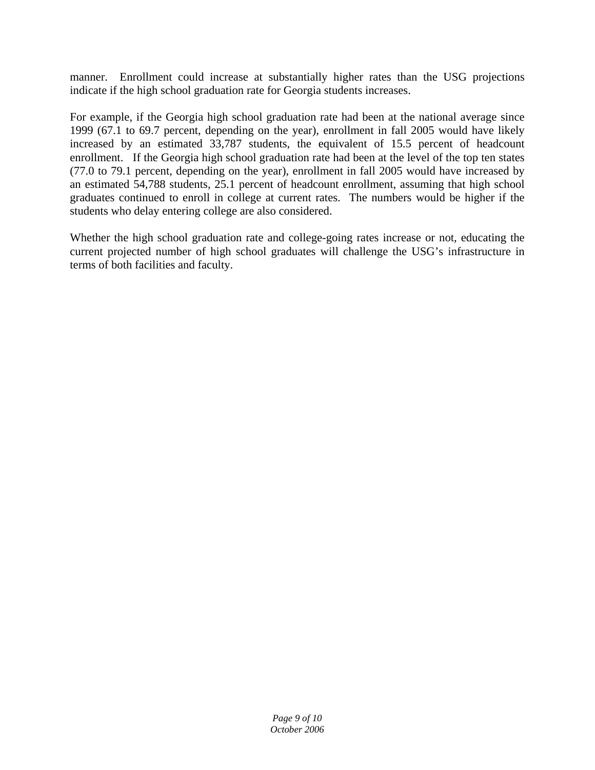manner. Enrollment could increase at substantially higher rates than the USG projections indicate if the high school graduation rate for Georgia students increases.

For example, if the Georgia high school graduation rate had been at the national average since 1999 (67.1 to 69.7 percent, depending on the year), enrollment in fall 2005 would have likely increased by an estimated 33,787 students, the equivalent of 15.5 percent of headcount enrollment. If the Georgia high school graduation rate had been at the level of the top ten states (77.0 to 79.1 percent, depending on the year), enrollment in fall 2005 would have increased by an estimated 54,788 students, 25.1 percent of headcount enrollment, assuming that high school graduates continued to enroll in college at current rates. The numbers would be higher if the students who delay entering college are also considered.

Whether the high school graduation rate and college-going rates increase or not, educating the current projected number of high school graduates will challenge the USG's infrastructure in terms of both facilities and faculty.